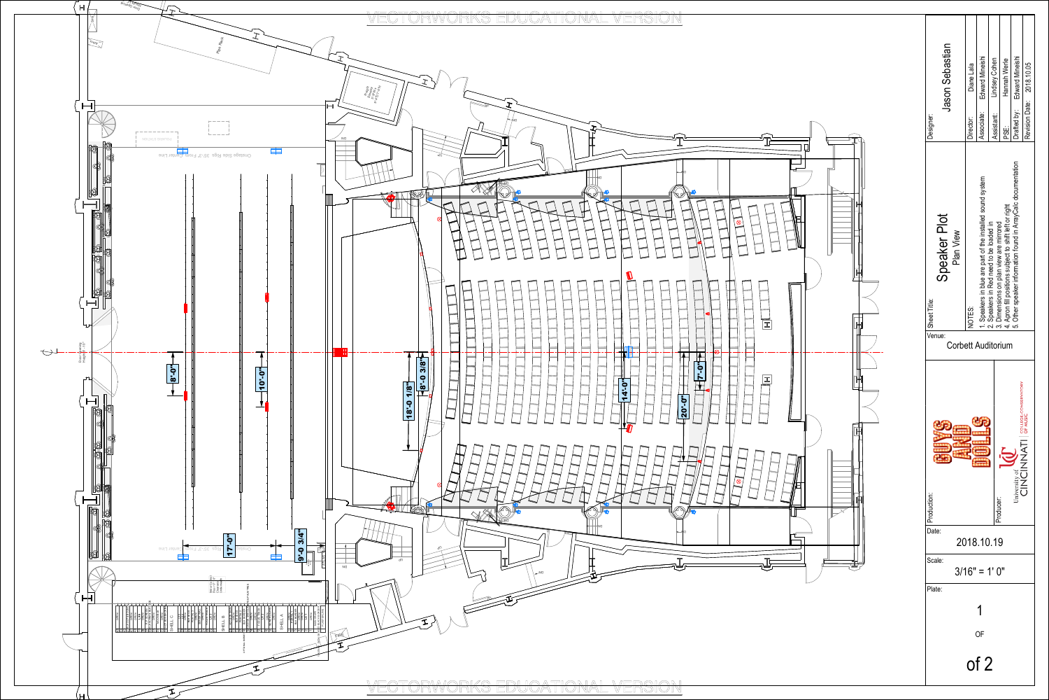

| Jason Sebastian<br>Designer:                                                                                                                                  | Diane Lala<br>Director:                                                                                                                                                                                                                                                                    | Edward Mineishi<br>Associate: | Lindsey Cohen<br>Assistant: | Hannah Werle<br>iij<br>PS | Edward Mineishi<br>Drafted by: | 2018.10.05<br>Revision Date: |  |
|---------------------------------------------------------------------------------------------------------------------------------------------------------------|--------------------------------------------------------------------------------------------------------------------------------------------------------------------------------------------------------------------------------------------------------------------------------------------|-------------------------------|-----------------------------|---------------------------|--------------------------------|------------------------------|--|
| Speaker Plot<br>Plan View<br>Sheet Title:                                                                                                                     | cumentation<br>1. Speakers in blue are part of the installed sound system<br>2. Speakers in Red need to be loaded in<br>3. Dimensions on plan view are mirrored<br>4. Apron fill positions subject to shift left or right<br>5. Other speaker information found in ArrayCalc doc<br>NOTES: |                               |                             |                           |                                |                              |  |
| Venue:<br>Corbett Auditorium<br>COLLEGE-CONSERVATORY<br>OF MUSIC<br>Jniversity of <b>ATT</b><br>CINCINNATI<br>Production:<br>Producer:<br>Date:<br>2018.10.19 |                                                                                                                                                                                                                                                                                            |                               |                             |                           |                                |                              |  |
| Scale:                                                                                                                                                        | $3/16" = 1'0"$                                                                                                                                                                                                                                                                             |                               |                             |                           |                                |                              |  |
| Plate:                                                                                                                                                        |                                                                                                                                                                                                                                                                                            |                               |                             |                           |                                |                              |  |
| OF                                                                                                                                                            |                                                                                                                                                                                                                                                                                            |                               |                             |                           |                                |                              |  |
| of 2                                                                                                                                                          |                                                                                                                                                                                                                                                                                            |                               |                             |                           |                                |                              |  |